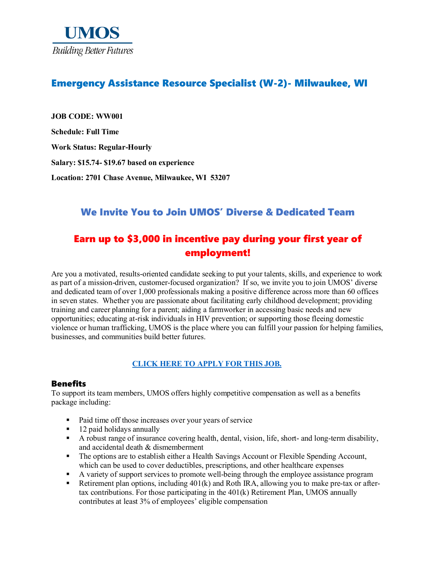

## Emergency Assistance Resource Specialist (W-2)- Milwaukee, WI

**JOB CODE: WW001 Schedule: Full Time Work Status: Regular-Hourly Salary: \$15.74- \$19.67 based on experience Location: 2701 Chase Avenue, Milwaukee, WI 53207**

## We Invite You to Join UMOS' Diverse & Dedicated Team

## Earn up to \$3,000 in incentive pay during your first year of employment!

Are you a motivated, results-oriented candidate seeking to put your talents, skills, and experience to work as part of a mission-driven, customer-focused organization? If so, we invite you to join UMOS' diverse and dedicated team of over 1,000 professionals making a positive difference across more than 60 offices in seven states. Whether you are passionate about facilitating early childhood development; providing training and career planning for a parent; aiding a farmworker in accessing basic needs and new opportunities; educating at-risk individuals in HIV prevention; or supporting those fleeing domestic violence or human trafficking, UMOS is the place where you can fulfill your passion for helping families, businesses, and communities build better futures.

#### **[CLICK HERE TO APPLY FOR THIS JOB.](https://www.umos.org/job-application/)**

#### Benefits

To support its team members, UMOS offers highly competitive compensation as well as a benefits package including:

- Paid time off those increases over your years of service
- $\blacksquare$  12 paid holidays annually
- A robust range of insurance covering health, dental, vision, life, short- and long-term disability, and accidental death & dismemberment
- The options are to establish either a Health Savings Account or Flexible Spending Account, which can be used to cover deductibles, prescriptions, and other healthcare expenses
- A variety of support services to promote well-being through the employee assistance program
- Retirement plan options, including  $401(k)$  and Roth IRA, allowing you to make pre-tax or aftertax contributions. For those participating in the 401(k) Retirement Plan, UMOS annually contributes at least 3% of employees' eligible compensation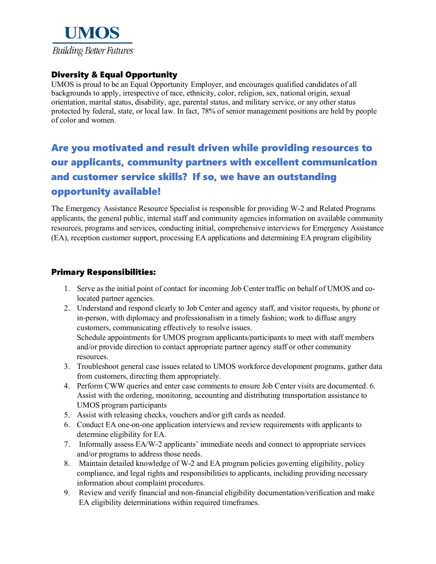

#### Diversity & Equal Opportunity

UMOS is proud to be an Equal Opportunity Employer, and encourages qualified candidates of all backgrounds to apply, irrespective of race, ethnicity, color, religion, sex, national origin, sexual orientation, marital status, disability, age, parental status, and military service, or any other status protected by federal, state, or local law. In fact, 78% of senior management positions are held by people of color and women.

# Are you motivated and result driven while providing resources to our applicants, community partners with excellent communication and customer service skills? If so, we have an outstanding opportunity available!

The Emergency Assistance Resource Specialist is responsible for providing W-2 and Related Programs applicants, the general public, internal staff and community agencies information on available community resources, programs and services, conducting initial, comprehensive interviews for Emergency Assistance (EA), reception customer support, processing EA applications and determining EA program eligibility

#### Primary Responsibilities:

- 1. Serve as the initial point of contact for incoming Job Center traffic on behalf of UMOS and colocated partner agencies.
- 2. Understand and respond clearly to Job Center and agency staff, and visitor requests, by phone or in-person, with diplomacy and professionalism in a timely fashion; work to diffuse angry customers, communicating effectively to resolve issues.

Schedule appointments for UMOS program applicants/participants to meet with staff members and/or provide direction to contact appropriate partner agency staff or other community resources.

- 3. Troubleshoot general case issues related to UMOS workforce development programs, gather data from customers, directing them appropriately.
- 4. Perform CWW queries and enter case comments to ensure Job Center visits are documented. 6. Assist with the ordering, monitoring, accounting and distributing transportation assistance to UMOS program participants
- 5. Assist with releasing checks, vouchers and/or gift cards as needed.
- 6. Conduct EA one-on-one application interviews and review requirements with applicants to determine eligibility for EA.
- 7. Informally assess EA/W-2 applicants' immediate needs and connect to appropriate services and/or programs to address those needs.
- 8. Maintain detailed knowledge of W-2 and EA program policies governing eligibility, policy compliance, and legal rights and responsibilities to applicants, including providing necessary information about complaint procedures.
- 9. Review and verify financial and non-financial eligibility documentation/verification and make EA eligibility determinations within required timeframes.